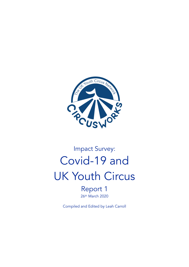

# Impact Survey: Covid-19 and UK Youth Circus

Report 1 26th March 2020

Compiled and Edited by Leah Carroll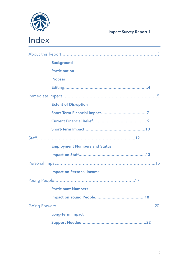

|  | <b>Background</b>                    |
|--|--------------------------------------|
|  | <b>Participation</b>                 |
|  | <b>Process</b>                       |
|  |                                      |
|  |                                      |
|  | <b>Extent of Disruption</b>          |
|  |                                      |
|  |                                      |
|  |                                      |
|  |                                      |
|  | <b>Employment Numbers and Status</b> |
|  |                                      |
|  |                                      |
|  | <b>Impact on Personal Income</b>     |
|  |                                      |
|  | <b>Participant Numbers</b>           |
|  |                                      |
|  |                                      |
|  | <b>Long-Term Impact</b>              |
|  |                                      |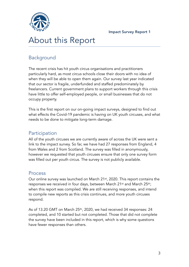



## About this Report

## Background

The recent crisis has hit youth circus organisations and practitioners particularly hard, as most circus schools close their doors with no idea of when they will be able to open them again. Our survey last year indicated that our sector is fragile, underfunded and staffed predominately by freelancers. Current government plans to support workers through this crisis have little to offer self-employed people, or small businesses that do not occupy property.

This is the first report on our on-going impact surveys, designed to find out what effects the Covid-19 pandemic is having on UK youth circuses, and what needs to be done to mitigate long-term damage.

### **Participation**

All of the youth circuses we are currently aware of across the UK were sent a link to the impact survey. So far, we have had 27 responses from England, 4 from Wales and 2 from Scotland. The survey was filled in anonymously, however we requested that youth circuses ensure that only one survey form was filled out per youth circus. The survey is not publicly available.

### Process

Our online survey was launched on March 21st, 2020. This report contains the responses we received in four days, between March 21<sup>st</sup> and March 25<sup>th</sup>; when this report was compiled. We are still receiving responses, and intend to compile new reports as this crisis continues, and more youth circuses respond.

As of 13.20 GMT on March 25<sup>th</sup>, 2020, we had received 34 responses: 24 completed, and 10 started but not completed. Those that did not complete the survey have been included in this report, which is why some questions have fewer responses than others.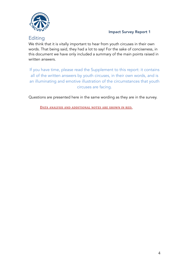

### Editing

We think that it is vitally important to hear from youth circuses in their own words. That being said, they had a lot to say! For the sake of conciseness, in this document we have only included a summary of the main points raised in written answers.

If you have time, please read the Supplement to this report: it contains all of the written answers by youth circuses, in their own words, and is an illuminating and emotive illustration of the circumstances that youth circuses are facing.

Questions are presented here in the same wording as they are in the survey.

**DATA ANALYSIS AND ADDITIONAL NOTES ARE SHOWN IN RED.**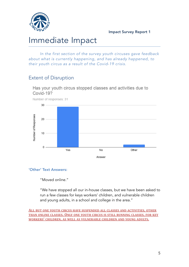

## Immediate Impact

*In the first section of the survey youth circuses gave feedback about what is currently happening, and has already happened, to their youth circus as a result of the Covid-19 crisis.*

## Extent of Disruption



#### 'Other' Text Answers:

"Moved online."

"We have stopped all our in-house classes, but we have been asked to run a few classes for keys workers' children, and vulnerable children and young adults, in a school and college in the area."

**ALL BUT ONE YOUTH CIRCUS HAVE SUSPENDED ALL CLASSES AND ACTIVITIES, OTHER THAN ONLINE CLASSES. ONLY ONE YOUTH CIRCUS IS STILL RUNNING CLASSES, FOR KEY WORKERS' CHILDREN, AS WELL AS VULNERABLE CHILDREN AND YOUNG ADULTS.**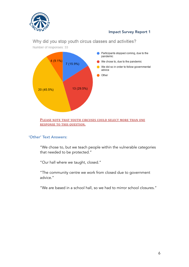



Why did you stop youth circus classes and activities?

Number of responses: 33

#### **PLEASE NOTE THAT YOUTH CIRCUSES COULD SELECT MORE THAN ONE RESPONSE TO THIS QUESTION.**

#### 'Other' Text Answers:

"We chose to, but we teach people within the vulnerable categories that needed to be protected."

"Our hall where we taught, closed."

"The community centre we work from closed due to government advice."

"We are based in a school hall, so we had to mirror school closures."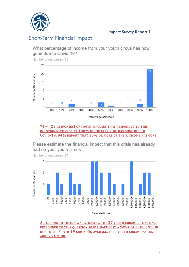

### Short-Term Financial Impact

What percentage of income from your youth circus has now gone due to Covid-19?

Number of responses: 31 25  $2<sub>3</sub>$ 20 Number of Responses 15 10 5 1  $\overline{0}$  $\overline{0}$  $\overline{0}$  $\Omega$  $\overline{0}$  $\overline{0}$ R  $\Omega$ 30% 40% 50% 0% 10% 20% 60% 70% 80% 90% 100% Percentage of Income

**74% (23 RESPONSES) OF YOUTH CIRCUSES THAT RESPONDED TO THIS QUESTION REPORT THAT 100% OF THEIR INCOME HAS GONE DUE TO COVID-19. 94% REPORT THAT 50% OR MORE OF THEIR INCOME HAS GONE.**

Please estimate the financial impact that this crisis has already had on your youth circus:



**Estimated Loss** 

**ACCORDING TO THEIR OWN ESTIMATES, THE 27 YOUTH CIRCUSES THAT HAVE RESPONDED** TO THIS QUESTION SO FAR HAVE LOST A TOTAL OF £188,199.00 **DUE TO THE COVID-19 CRISIS. ON AVERAGE, EACH YOUTH CIRCUS HAS LOST AROUND £7000.**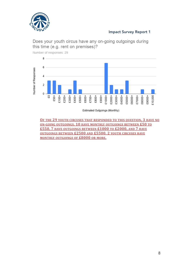

Does your youth circus have any on-going outgoings during this time (e.g. rent on premises)?

Number of responses: 29



Estimated Outgoings (Monthly)

**OF THE 29 YOUTH CIRCUSES THAT RESPONDED TO THIS QUESTION, 3 HAVE NO ON-GOING OUTGOINGS. 10 HAVE MONTHLY OUTGOINGS BETWEEN £50 TO £550, 7 HAVE OUTGOINGS BETWEEN £1000 TO £2000, AND 7 HAVE OUTGOINGS BETWEEN £2500 AND £5500. 2 YOUTH CIRCUSES HAVE MONTHLY OUTGOINGS OF £8000 OR MORE.**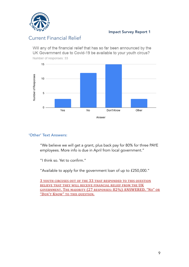

## Current Financial Relief

Will any of the financial relief that has so far been announced by the UK Government due to Covid-19 be available to your youth circus? Number of responses: 33



#### 'Other' Text Answers:

"We believe we will get a grant, plus back pay for 80% for three PAYE employees. More info is due in April from local government."

"I think so. Yet to confirm."

"Available to apply for the government loan of up to £250,000."

**3 YOUTH CIRCUSES OUT OF THE 33 THAT RESPONDED TO THIS QUESTION BELIEVE THAT THEY WILL RECEIVE FINANCIAL RELIEF FROM THE UK GOVERNMENT. THE MAJORITY (27 RESPONSES: 82%) ANSWERED, "NO" OR "DON'T KNOW" TO THIS QUESTION.**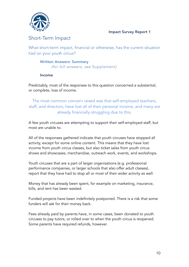

## Short-Term Impact

What short-term impact, financial or otherwise, has the current situation had on your youth circus?

#### Written Answers: Summary *(for full answers, see* Supplement*)*

#### Income

Predictably, most of the responses to this question concerned a substantial, or complete, loss of income.

The most common concern raised was that self-employed teachers, staff, and directors, have lost all of their personal income, and many are already financially struggling due to this.

A few youth circuses are attempting to support their self-employed staff, but most are unable to.

All of the responses gathered indicate that youth circuses have stopped all activity, except for some online content. This means that they have lost income from youth circus classes, but also ticket sales from youth circus shows and showcases, merchandise, outreach work, events, and workshops.

Youth circuses that are a part of larger organisations (e.g. professional performance companies, or larger schools that also offer adult classes), report that they have had to stop all or most of their wider activity as well.

Money that has already been spent, for example on marketing, insurance, bills, and rent has been wasted.

Funded projects have been indefinitely postponed. There is a risk that some funders will ask for their money back.

Fees already paid by parents have, in some cases, been donated to youth circuses to pay tutors, or rolled over to when the youth circus is reopened. Some parents have required refunds, however.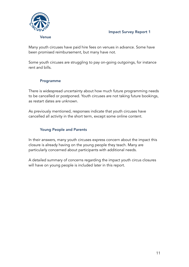



Many youth circuses have paid hire fees on venues in advance. Some have been promised reimbursement, but many have not.

Some youth circuses are struggling to pay on-going outgoings, for instance rent and bills.

#### Programme

There is widespread uncertainty about how much future programming needs to be cancelled or postponed. Youth circuses are not taking future bookings, as restart dates are unknown.

As previously mentioned, responses indicate that youth circuses have cancelled all activity in the short term, except some online content.

#### Young People and Parents

In their answers, many youth circuses express concern about the impact this closure is already having on the young people they teach. Many are particularly concerned about participants with additional needs.

A detailed summary of concerns regarding the impact youth circus closures will have on young people is included later in this report.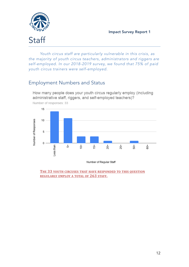

*Youth circus staff are particularly vulnerable in this crisis, as the majority of youth circus teachers, administrators and riggers are self-employed. In our 2018-2019 survey, we found that 75% of paid youth circus trainers were self-employed.*

## Employment Numbers and Status

How many people does your youth circus regularly employ (including administrative staff, riggers, and self-employed teachers)?



Number of responses: 33

Number of Regular Staff

**THE 33 YOUTH CIRCUSES THAT HAVE RESPONDED TO THIS QUESTION REGULARLY EMPLOY A TOTAL OF 263 STAFF.**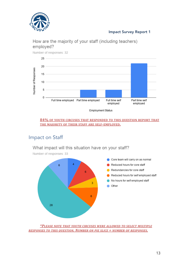



How are the majority of your staff (including teachers) employed?

Employment Status

#### **84% OF YOUTH CIRCUSES THAT RESPONDED TO THIS QUESTION REPORT THAT THE MAJORITY OF THEIR STAFF ARE SELF-EMPLOYED.**

## Impact on Staff

#### What impact will this situation have on your staff?



Number of responses: 33

*\*PLEASE NOTE THAT YOUTH CIRCUSES WERE ALLOWED TO SELECT MULTIPLE RESPONSES TO THIS QUESTION. NUMBER ON PIE SLICE = NUMBER OF RESPONSES.*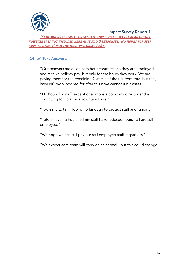

*"SAME HOURS AS USUAL FOR SELF EMPLOYED STAFF" WAS ALSO AN OPTION, HOWEVER IT IS NOT INCLUDED HERE AS IT HAD 0 RESPONSES. 'NO HOURS FOR SELF EMPLOYED STAFF' HAD THE MOST RESPONSES (28).*

#### 'Other' Text Answers:

"Our teachers are all on zero hour contracts. So they are employed, and receive holiday pay, but only for the hours they work. We are paying them for the remaining 2 weeks of their current rota, but they have NO work booked for after this if we cannot run classes."

"No hours for staff, except one who is a company director and is continuing to work on a voluntary basis."

"Too early to tell. Hoping to furlough to protect staff and funding."

"Tutors have no hours, admin staff have reduced hours - all are selfemployed."

"We hope we can still pay our self employed staff regardless."

"We expect core team will carry on as normal - but this could change."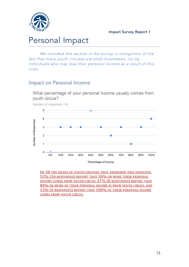

## Personal Impact

*We included this section in the survey in recognition of the fact that many youth circuses are small businesses, run by individuals who may lose their personal income as a result of this crisis.*

## Impact on Personal Income

What percentage of your personal income usually comes from youth circus?



**OF 30 THE HEADS OF YOUTH CIRCUSES THAT ANSWERED THIS OUESTION, 53% (16 RESPONSES) REPORT THAT 50% OR MORE THEIR PERSONAL INCOME COMES FROM YOUTH CIRCUS, 27% (8 RESPONSES) REPORT THAT 80% OR MORE OF THEIR PERSONAL INCOME IS FROM YOUTH CIRCUS, AND 13% (4 RESPONSES) REPORT THAT 100% OF THEIR PERSONAL INCOME COMES FROM YOUTH CIRCUS.**

Number of responses: 30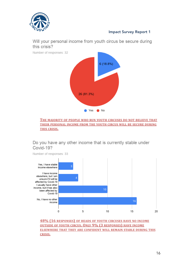

Will your personal income from youth circus be secure during this crisis?



#### **THE MAJORITY OF PEOPLE WHO RUN YOUTH CIRCUSES DO NOT BELIEVE THAT THEIR PERSONAL INCOME FROM THE YOUTH CIRCUS WILL BE SECURE DURING THIS CRISIS.**

#### Do you have any other income that is currently stable under Covid-19?



**48% (16 RESPONSES) OF HEADS OF YOUTH CIRCUSES HAVE NO INCOME OUTSIDE OF YOUTH CIRCUS. ONLY 9% (3 RESPONSES) HAVE INCOME ELSEWHERE THAT THEY ARE CONFIDENT WILL REMAIN STABLE DURING THIS CRISIS.**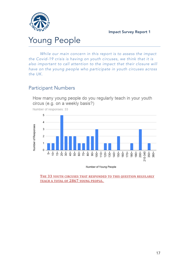

## Young People

*While our main concern in this report is to assess the impact the Covid-19 crisis is having on youth circuses, we think that it is also important to call attention to the impact that their closure will have on the young people who participate in youth circuses across the UK.*

### Participant Numbers

How many young people do you regularly teach in your youth circus (e.g. on a weekly basis?)



Number of responses: 33

Number of Young People

**THE 33 YOUTH CIRCUSES THAT RESPONDED TO THIS QUESTION REGULARLY TEACH A TOTAL OF 2867 YOUNG PEOPLE.**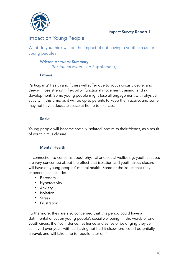

## Impact on Young People

What do you think will be the impact of not having a youth circus for young people?

#### Written Answers: Summary *(for full answers, see* Supplement*)*

#### Fitness

Participants' health and fitness will suffer due to youth circus closure, and they will lose strength, flexibility, functional movement training, and skill development. Some young people might lose all engagement with physical activity in this time, as it will be up to parents to keep them active, and some may not have adequate space at home to exercise.

#### Social

Young people will become socially isolated, and miss their friends, as a result of youth circus closure.

#### Mental Health

In connection to concerns about physical and social wellbeing, youth circuses are very concerned about the effect that isolation and youth circus closure will have on young peoples' mental health. Some of the issues that they expect to see include:

- Boredom
- Hyperactivity
- Anxiety
- Isolation
- **Stress**
- Frustration

Furthermore, they are also concerned that this period could have a detrimental effect on young people's social wellbeing. In the words of one youth circus, the "confidence, resilience and sense of belonging they've achieved over years with us, having not had it elsewhere, could potentially unravel, and will take time to rebuild later on."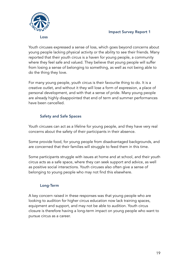

Youth circuses expressed a sense of loss, which goes beyond concerns about young people lacking physical activity or the ability to see their friends. Many reported that their youth circus is a haven for young people, a community where they feel safe and valued. They believe that young people will suffer from losing a sense of belonging to something, as well as not being able to do the thing they love.

For many young people, youth circus is their favourite thing to do. It is a creative outlet, and without it they will lose a form of expression, a place of personal development, and with that a sense of pride. Many young people are already highly disappointed that end of term and summer performances have been cancelled.

#### Safety and Safe Spaces

Youth circuses can act as a lifeline for young people, and they have very real concerns about the safety of their participants in their absence.

Some provide food, for young people from disadvantaged backgrounds, and are concerned that their families will struggle to feed them in this time.

Some participants struggle with issues at home and at school, and their youth circus acts as a safe space, where they can seek support and advice, as well as positive social interactions. Youth circuses also often give a sense of belonging to young people who may not find this elsewhere.

#### Long-Term

A key concern raised in these responses was that young people who are looking to audition for higher circus education now lack training spaces, equipment and support, and may not be able to audition. Youth circus closure is therefore having a long-term impact on young people who want to pursue circus as a career.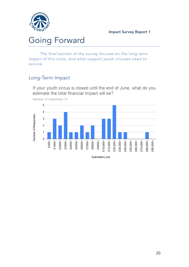

## Going Forward

*The final section of the survey focuses on the long-term impact of this crisis, and what support youth circuses need to survive.*

## Long-Term Impact

If your youth circus is closed until the end of June, what do you estimate the total financial impact will be?



Number of responses: 31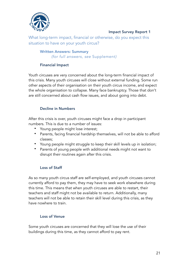

What long-term impact, financial or otherwise, do you expect this situation to have on your youth circus?

#### Written Answers: Summary *(for full answers, see* Supplement*)*

#### Financial Impact

Youth circuses are very concerned about the long-term financial impact of this crisis. Many youth circuses will close without external funding. Some run other aspects of their organisation on their youth circus income, and expect the whole organisation to collapse. Many face bankruptcy. Those that don't are still concerned about cash flow issues, and about going into debt.

#### Decline in Numbers

After this crisis is over, youth circuses might face a drop in participant numbers. This is due to a number of issues:

- Young people might lose interest;
- Parents, facing financial hardship themselves, will not be able to afford classes;
- Young people might struggle to keep their skill levels up in isolation;
- Parents of young people with additional needs might not want to disrupt their routines again after this crisis.

#### Loss of Staff

As so many youth circus staff are self-employed, and youth circuses cannot currently afford to pay them, they may have to seek work elsewhere during this time. This means that when youth circuses are able to restart, their teachers and staff might not be available to return. Additionally, many teachers will not be able to retain their skill level during this crisis, as they have nowhere to train.

#### Loss of Venue

Some youth circuses are concerned that they will lose the use of their buildings during this time, as they cannot afford to pay rent.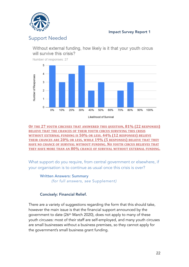

## Support Needed

Without external funding, how likely is it that your youth circus will survive this crisis?



Number of responses: 27

Likelihood of Survival

**OF THE 27 YOUTH CIRCUSES THAT ANSWERED THIS QUESTION, 81% (22 RESPONSES) BELIEVE THAT THE CHANCES OF THEIR YOUTH CIRCUS SURVIVING THIS CRISIS WITHOUT EXTERNAL FUNDING IS 50% OR LESS. 44% (12 RESPONSES) BELIEVE THEIR CHANCES ARE 20% OR LESS, WHILE 19% (5 RESPONSES) BELIEVE THAT THEY HAVE NO CHANCE OF SURVIVAL WITHOUT FUNDING. NO YOUTH CIRCUS BELIEVES THAT THEY HAVE MORE THAN AN 80% CHANCE OF SURVIVAL WITHOUT EXTERNAL FUNDING.**

What support do you require, from central government or elsewhere, if your organisation is to continue as usual once this crisis is over?

Written Answers: Summary *(for full answers, see* Supplement*)*

#### Concisely: Financial Relief.

There are a variety of suggestions regarding the form that this should take, however the main issue is that the financial support announced by the government to date (26th March 2020), does not apply to many of these youth circuses: most of their staff are self-employed, and many youth circuses are small businesses without a business premises, so they cannot apply for the government's small business grant funding.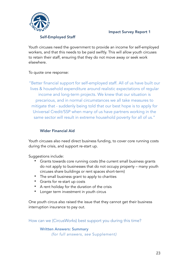

#### Self-Employed Staff

Youth circuses need the government to provide an income for self-employed workers, and that this needs to be paid swiftly. This will allow youth circuses to retain their staff, ensuring that they do not move away or seek work elsewhere.

#### To quote one response:

"Better financial support for self-employed staff. All of us have built our lives & household expenditure around realistic expectations of regular income and long-term projects. We knew that our situation is precarious, and in normal circumstances we all take measures to mitigate that - suddenly being told that our best hope is to apply for Universal Credit/SSP when many of us have partners working in the same sector will result in extreme household poverty for all of us."

#### Wider Financial Aid

Youth circuses also need direct business funding, to cover core running costs during the crisis, and support re-start up.

Suggestions include:

- Grants towards core running costs (the current small business grants do not apply to businesses that do not occupy property – many youth circuses share buildings or rent spaces short-term)
- The small business grant to apply to charities
- Grants for re-start up costs
- A rent holiday for the duration of the crisis
- Longer term investment in youth circus

One youth circus also raised the issue that they cannot get their business interruption insurance to pay out.

How can we (CircusWorks) best support you during this time?

Written Answers: Summary *(for full answers, see* Supplement*)*